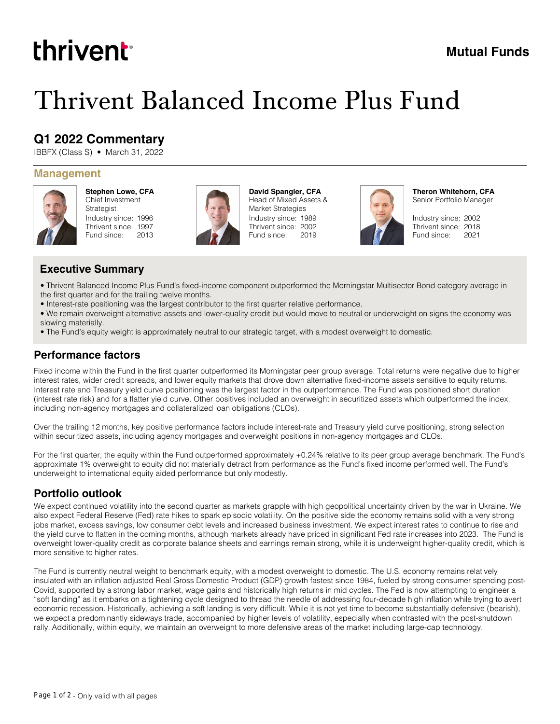# thrivent

## **Mutual Funds**

## Thrivent Balanced Income Plus Fund

## **Q1 2022 Commentary**

IBBFX (Class S) • March 31, 2022

#### **Management**



**Stephen Lowe, CFA** Chief Investment Strategist Industry since: 1996 Thrivent since: 1997 Fund since: 2013



Industry since: 1989 Thrivent since: 2002 Fund since: 2019 **David Spangler, CFA** Head of Mixed Assets & Market Strategies



**Theron Whitehorn, CFA** Senior Portfolio Manager

Industry since: 2002 Thrivent since: 2018 Fund since: 2021

#### **Executive Summary**

• Thrivent Balanced Income Plus Fund's fixed-income component outperformed the Morningstar Multisector Bond category average in the first quarter and for the trailing twelve months.

- Interest-rate positioning was the largest contributor to the first quarter relative performance.
- We remain overweight alternative assets and lower-quality credit but would move to neutral or underweight on signs the economy was slowing materially.
- The Fund's equity weight is approximately neutral to our strategic target, with a modest overweight to domestic.

#### **Performance factors**

Fixed income within the Fund in the first quarter outperformed its Morningstar peer group average. Total returns were negative due to higher interest rates, wider credit spreads, and lower equity markets that drove down alternative fixed-income assets sensitive to equity returns. Interest rate and Treasury yield curve positioning was the largest factor in the outperformance. The Fund was positioned short duration (interest rate risk) and for a flatter yield curve. Other positives included an overweight in securitized assets which outperformed the index, including non-agency mortgages and collateralized loan obligations (CLOs).

Over the trailing 12 months, key positive performance factors include interest-rate and Treasury yield curve positioning, strong selection within securitized assets, including agency mortgages and overweight positions in non-agency mortgages and CLOs.

For the first quarter, the equity within the Fund outperformed approximately +0.24% relative to its peer group average benchmark. The Fund's approximate 1% overweight to equity did not materially detract from performance as the Fund's fixed income performed well. The Fund's underweight to international equity aided performance but only modestly.

### **Portfolio outlook**

We expect continued volatility into the second quarter as markets grapple with high geopolitical uncertainty driven by the war in Ukraine. We also expect Federal Reserve (Fed) rate hikes to spark episodic volatility. On the positive side the economy remains solid with a very strong jobs market, excess savings, low consumer debt levels and increased business investment. We expect interest rates to continue to rise and the yield curve to flatten in the coming months, although markets already have priced in significant Fed rate increases into 2023. The Fund is overweight lower-quality credit as corporate balance sheets and earnings remain strong, while it is underweight higher-quality credit, which is more sensitive to higher rates.

The Fund is currently neutral weight to benchmark equity, with a modest overweight to domestic. The U.S. economy remains relatively insulated with an inflation adjusted Real Gross Domestic Product (GDP) growth fastest since 1984, fueled by strong consumer spending post-Covid, supported by a strong labor market, wage gains and historically high returns in mid cycles. The Fed is now attempting to engineer a "soft landing" as it embarks on a tightening cycle designed to thread the needle of addressing four-decade high inflation while trying to avert economic recession. Historically, achieving a soft landing is very difficult. While it is not yet time to become substantially defensive (bearish), we expect a predominantly sideways trade, accompanied by higher levels of volatility, especially when contrasted with the post-shutdown rally. Additionally, within equity, we maintain an overweight to more defensive areas of the market including large-cap technology.